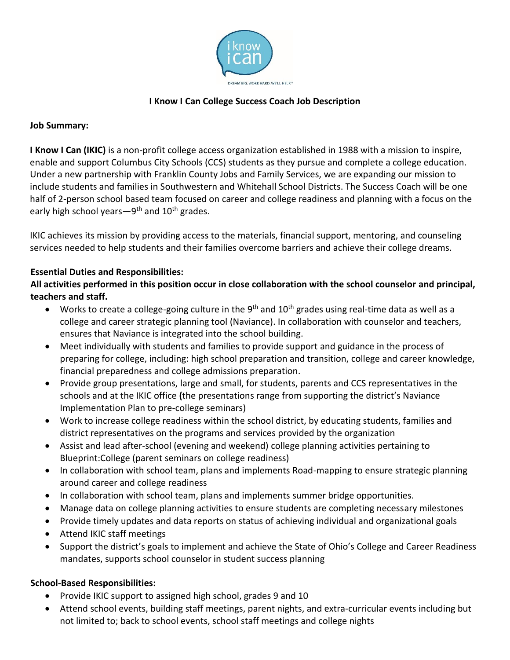

# **I Know I Can College Success Coach Job Description**

### **Job Summary:**

**I Know I Can (IKIC)** is a non-profit college access organization established in 1988 with a mission to inspire, enable and support Columbus City Schools (CCS) students as they pursue and complete a college education. Under a new partnership with Franklin County Jobs and Family Services, we are expanding our mission to include students and families in Southwestern and Whitehall School Districts. The Success Coach will be one half of 2-person school based team focused on career and college readiness and planning with a focus on the early high school years—9<sup>th</sup> and 10<sup>th</sup> grades.

IKIC achieves its mission by providing access to the materials, financial support, mentoring, and counseling services needed to help students and their families overcome barriers and achieve their college dreams.

## **Essential Duties and Responsibilities:**

**All activities performed in this position occur in close collaboration with the school counselor and principal, teachers and staff.**

- Works to create a college-going culture in the 9<sup>th</sup> and 10<sup>th</sup> grades using real-time data as well as a college and career strategic planning tool (Naviance). In collaboration with counselor and teachers, ensures that Naviance is integrated into the school building.
- Meet individually with students and families to provide support and guidance in the process of preparing for college, including: high school preparation and transition, college and career knowledge, financial preparedness and college admissions preparation.
- Provide group presentations, large and small, for students, parents and CCS representatives in the schools and at the IKIC office **(**the presentations range from supporting the district's Naviance Implementation Plan to pre-college seminars)
- Work to increase college readiness within the school district, by educating students, families and district representatives on the programs and services provided by the organization
- Assist and lead after-school (evening and weekend) college planning activities pertaining to Blueprint:College (parent seminars on college readiness)
- In collaboration with school team, plans and implements Road-mapping to ensure strategic planning around career and college readiness
- In collaboration with school team, plans and implements summer bridge opportunities.
- Manage data on college planning activities to ensure students are completing necessary milestones
- Provide timely updates and data reports on status of achieving individual and organizational goals
- Attend IKIC staff meetings
- Support the district's goals to implement and achieve the State of Ohio's College and Career Readiness mandates, supports school counselor in student success planning

## **School-Based Responsibilities:**

- Provide IKIC support to assigned high school, grades 9 and 10
- Attend school events, building staff meetings, parent nights, and extra-curricular events including but not limited to; back to school events, school staff meetings and college nights